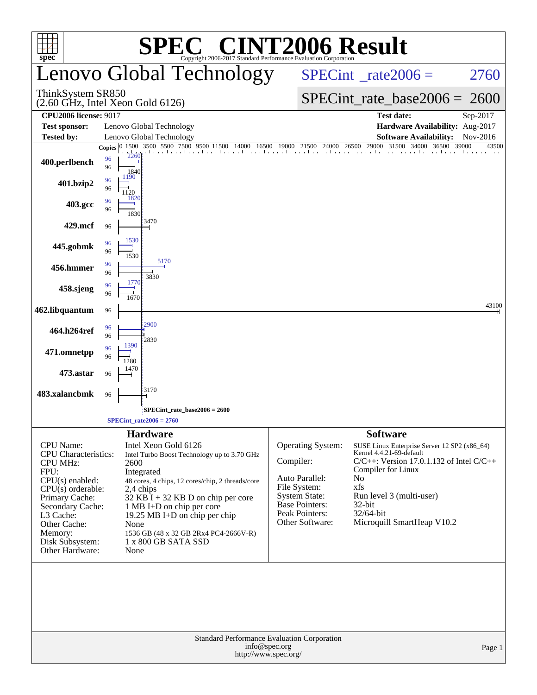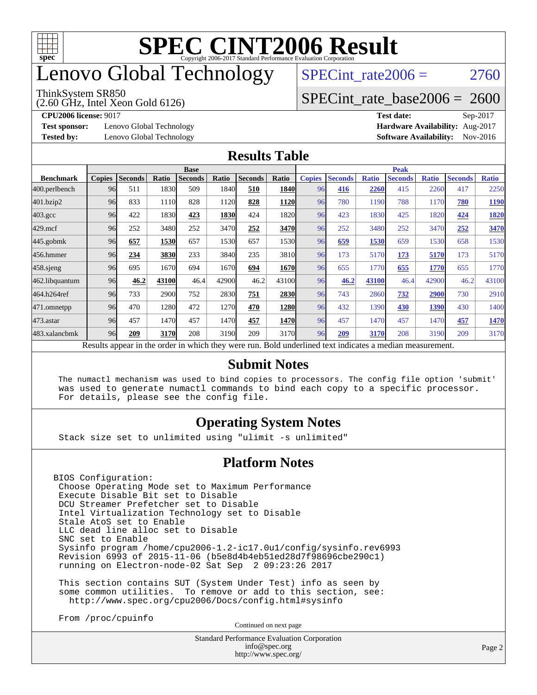

## enovo Global Technology

#### ThinkSystem SR850

(2.60 GHz, Intel Xeon Gold 6126)

SPECint rate $2006 = 2760$ 

## [SPECint\\_rate\\_base2006 =](http://www.spec.org/auto/cpu2006/Docs/result-fields.html#SPECintratebase2006) 2600

**[Test sponsor:](http://www.spec.org/auto/cpu2006/Docs/result-fields.html#Testsponsor)** Lenovo Global Technology **[Hardware Availability:](http://www.spec.org/auto/cpu2006/Docs/result-fields.html#HardwareAvailability)** Aug-2017

**[CPU2006 license:](http://www.spec.org/auto/cpu2006/Docs/result-fields.html#CPU2006license)** 9017 **[Test date:](http://www.spec.org/auto/cpu2006/Docs/result-fields.html#Testdate)** Sep-2017 **[Tested by:](http://www.spec.org/auto/cpu2006/Docs/result-fields.html#Testedby)** Lenovo Global Technology **[Software Availability:](http://www.spec.org/auto/cpu2006/Docs/result-fields.html#SoftwareAvailability)** Nov-2016

#### **[Results Table](http://www.spec.org/auto/cpu2006/Docs/result-fields.html#ResultsTable)**

|                                                                                                                 | <b>Base</b>   |                |       |                |       |                |             |               | <b>Peak</b>    |              |                |              |                |              |  |  |
|-----------------------------------------------------------------------------------------------------------------|---------------|----------------|-------|----------------|-------|----------------|-------------|---------------|----------------|--------------|----------------|--------------|----------------|--------------|--|--|
| <b>Benchmark</b>                                                                                                | <b>Copies</b> | <b>Seconds</b> | Ratio | <b>Seconds</b> | Ratio | <b>Seconds</b> | Ratio       | <b>Copies</b> | <b>Seconds</b> | <b>Ratio</b> | <b>Seconds</b> | <b>Ratio</b> | <b>Seconds</b> | <b>Ratio</b> |  |  |
| 400.perlbench                                                                                                   | 96            | 511            | 1830  | 509            | 1840  | 510            | <b>1840</b> | 96            | 416            | 2260         | 415            | 2260         | 417            | 2250         |  |  |
| 401.bzip2                                                                                                       | 96            | 833            | 1110  | 828            | 1120  | 828            | 1120        | 96            | 780            | 1190         | 788            | 1170         | 780            | 1190         |  |  |
| $403.\mathrm{gcc}$                                                                                              | 96            | 422            | 1830  | 423            | 1830  | 424            | 1820        | 96            | 423            | 1830         | 425            | 1820         | 424            | <b>1820</b>  |  |  |
| $429$ .mcf                                                                                                      | 96            | 252            | 3480  | 252            | 3470  | 252            | 3470        | 96            | 252            | 3480         | 252            | 3470         | 252            | 3470         |  |  |
| $445$ .gobm $k$                                                                                                 | 96            | 657            | 1530  | 657            | 1530  | 657            | 1530        | 96            | 659            | 1530         | 659            | 1530         | 658            | 1530         |  |  |
| 456.hmmer                                                                                                       | 96            | 234            | 3830  | 233            | 3840  | 235            | 3810        | 96            | 173            | 5170         | 173            | 5170         | 173            | 5170         |  |  |
| 458 sjeng                                                                                                       | 96            | 695            | 1670  | 694            | 1670  | 694            | 1670        | 96            | 655            | 1770         | 655            | 1770         | 655            | 1770         |  |  |
| 462.libquantum                                                                                                  | 96            | 46.2           | 43100 | 46.4           | 42900 | 46.2           | 43100       | 96            | 46.2           | 43100        | 46.4           | 42900        | 46.2           | 43100        |  |  |
| 464.h264ref                                                                                                     | 96            | 733            | 2900  | 752            | 2830  | 751            | 2830        | 96            | 743            | 2860         | 732            | 2900         | 730            | 2910         |  |  |
| 471.omnetpp                                                                                                     | 96            | 470            | 1280  | 472            | 1270  | 470            | 1280        | 96            | 432            | 1390         | 430            | 1390         | 430            | 1400         |  |  |
| $473.$ astar                                                                                                    | 96            | 457            | 1470  | 457            | 1470  | 457            | 1470        | 96            | 457            | 1470         | 457            | 1470         | 457            | 1470         |  |  |
| 483.xalancbmk                                                                                                   | 96            | 209            | 3170  | 208            | 3190  | 209            | 3170        | 96            | 209            | 3170         | 208            | 3190         | 209            | 3170         |  |  |
| <b>Dold</b> underlined tout indicates a modian measurement<br>Decute ennear in the order in which thay were run |               |                |       |                |       |                |             |               |                |              |                |              |                |              |  |  |

Results appear in the [order in which they were run.](http://www.spec.org/auto/cpu2006/Docs/result-fields.html#RunOrder) Bold underlined text [indicates a median measurement.](http://www.spec.org/auto/cpu2006/Docs/result-fields.html#Median)

#### **[Submit Notes](http://www.spec.org/auto/cpu2006/Docs/result-fields.html#SubmitNotes)**

 The numactl mechanism was used to bind copies to processors. The config file option 'submit' was used to generate numactl commands to bind each copy to a specific processor. For details, please see the config file.

#### **[Operating System Notes](http://www.spec.org/auto/cpu2006/Docs/result-fields.html#OperatingSystemNotes)**

Stack size set to unlimited using "ulimit -s unlimited"

#### **[Platform Notes](http://www.spec.org/auto/cpu2006/Docs/result-fields.html#PlatformNotes)**

BIOS Configuration: Choose Operating Mode set to Maximum Performance Execute Disable Bit set to Disable DCU Streamer Prefetcher set to Disable Intel Virtualization Technology set to Disable Stale AtoS set to Enable LLC dead line alloc set to Disable SNC set to Enable Sysinfo program /home/cpu2006-1.2-ic17.0u1/config/sysinfo.rev6993 Revision 6993 of 2015-11-06 (b5e8d4b4eb51ed28d7f98696cbe290c1) running on Electron-node-02 Sat Sep 2 09:23:26 2017

 This section contains SUT (System Under Test) info as seen by some common utilities. To remove or add to this section, see: <http://www.spec.org/cpu2006/Docs/config.html#sysinfo>

From /proc/cpuinfo

Continued on next page

Standard Performance Evaluation Corporation [info@spec.org](mailto:info@spec.org) <http://www.spec.org/>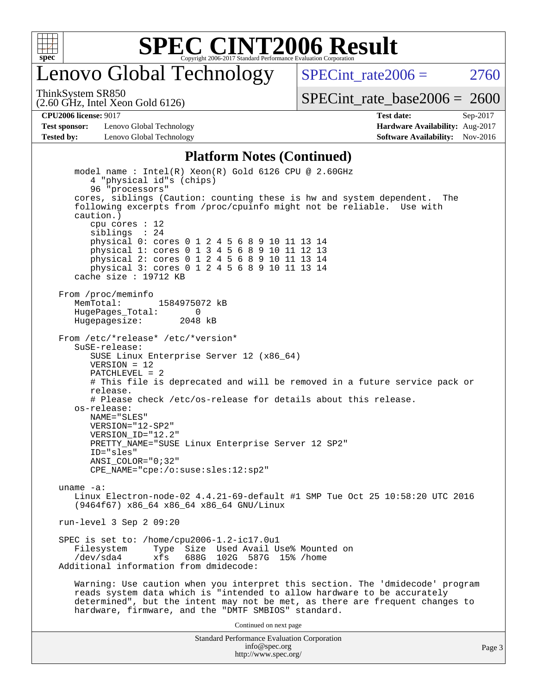

## enovo Global Technology

SPECint rate  $2006 = 2760$ 

(2.60 GHz, Intel Xeon Gold 6126) ThinkSystem SR850

[SPECint\\_rate\\_base2006 =](http://www.spec.org/auto/cpu2006/Docs/result-fields.html#SPECintratebase2006) 2600

**[Test sponsor:](http://www.spec.org/auto/cpu2006/Docs/result-fields.html#Testsponsor)** Lenovo Global Technology **[Hardware Availability:](http://www.spec.org/auto/cpu2006/Docs/result-fields.html#HardwareAvailability)** Aug-2017 **[Tested by:](http://www.spec.org/auto/cpu2006/Docs/result-fields.html#Testedby)** Lenovo Global Technology **[Software Availability:](http://www.spec.org/auto/cpu2006/Docs/result-fields.html#SoftwareAvailability)** Nov-2016

**[CPU2006 license:](http://www.spec.org/auto/cpu2006/Docs/result-fields.html#CPU2006license)** 9017 **[Test date:](http://www.spec.org/auto/cpu2006/Docs/result-fields.html#Testdate)** Sep-2017

#### **[Platform Notes \(Continued\)](http://www.spec.org/auto/cpu2006/Docs/result-fields.html#PlatformNotes)**

Standard Performance Evaluation Corporation model name : Intel(R) Xeon(R) Gold 6126 CPU @ 2.60GHz 4 "physical id"s (chips) 96 "processors" cores, siblings (Caution: counting these is hw and system dependent. The following excerpts from /proc/cpuinfo might not be reliable. Use with caution.) cpu cores : 12 siblings : 24 physical 0: cores 0 1 2 4 5 6 8 9 10 11 13 14 physical 1: cores 0 1 3 4 5 6 8 9 10 11 12 13 physical 2: cores 0 1 2 4 5 6 8 9 10 11 13 14 physical 3: cores 0 1 2 4 5 6 8 9 10 11 13 14 cache size : 19712 KB From /proc/meminfo MemTotal: 1584975072 kB HugePages\_Total: 0 Hugepagesize: 2048 kB From /etc/\*release\* /etc/\*version\* SuSE-release: SUSE Linux Enterprise Server 12 (x86\_64) VERSION = 12 PATCHLEVEL = 2 # This file is deprecated and will be removed in a future service pack or release. # Please check /etc/os-release for details about this release. os-release: NAME="SLES" VERSION="12-SP2" VERSION\_ID="12.2" PRETTY\_NAME="SUSE Linux Enterprise Server 12 SP2" ID="sles" ANSI\_COLOR="0;32" CPE\_NAME="cpe:/o:suse:sles:12:sp2" uname -a: Linux Electron-node-02 4.4.21-69-default #1 SMP Tue Oct 25 10:58:20 UTC 2016 (9464f67) x86\_64 x86\_64 x86\_64 GNU/Linux run-level 3 Sep 2 09:20 SPEC is set to: /home/cpu2006-1.2-ic17.0u1 Type Size Used Avail Use% Mounted on /dev/sda4 xfs 688G 102G 587G 15% /home Additional information from dmidecode: Warning: Use caution when you interpret this section. The 'dmidecode' program reads system data which is "intended to allow hardware to be accurately determined", but the intent may not be met, as there are frequent changes to hardware, firmware, and the "DMTF SMBIOS" standard. Continued on next page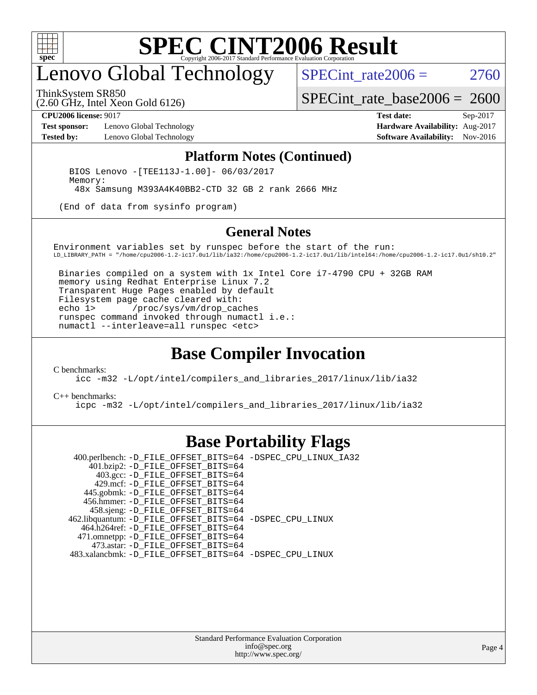

## enovo Global Technology

ThinkSystem SR850

SPECint rate  $2006 = 2760$ 

[SPECint\\_rate\\_base2006 =](http://www.spec.org/auto/cpu2006/Docs/result-fields.html#SPECintratebase2006) 2600

(2.60 GHz, Intel Xeon Gold 6126)

**[Test sponsor:](http://www.spec.org/auto/cpu2006/Docs/result-fields.html#Testsponsor)** Lenovo Global Technology **[Hardware Availability:](http://www.spec.org/auto/cpu2006/Docs/result-fields.html#HardwareAvailability)** Aug-2017 **[Tested by:](http://www.spec.org/auto/cpu2006/Docs/result-fields.html#Testedby)** Lenovo Global Technology **[Software Availability:](http://www.spec.org/auto/cpu2006/Docs/result-fields.html#SoftwareAvailability)** Nov-2016

**[CPU2006 license:](http://www.spec.org/auto/cpu2006/Docs/result-fields.html#CPU2006license)** 9017 **[Test date:](http://www.spec.org/auto/cpu2006/Docs/result-fields.html#Testdate)** Sep-2017

#### **[Platform Notes \(Continued\)](http://www.spec.org/auto/cpu2006/Docs/result-fields.html#PlatformNotes)**

 BIOS Lenovo -[TEE113J-1.00]- 06/03/2017 Memory: 48x Samsung M393A4K40BB2-CTD 32 GB 2 rank 2666 MHz

(End of data from sysinfo program)

#### **[General Notes](http://www.spec.org/auto/cpu2006/Docs/result-fields.html#GeneralNotes)**

Environment variables set by runspec before the start of the run: LD\_LIBRARY\_PATH = "/home/cpu2006-1.2-ic17.0u1/lib/ia32:/home/cpu2006-1.2-ic17.0u1/lib/intel64:/home/cpu2006-1.2-ic17.0u1/sh10.2"

 Binaries compiled on a system with 1x Intel Core i7-4790 CPU + 32GB RAM memory using Redhat Enterprise Linux 7.2 Transparent Huge Pages enabled by default Filesystem page cache cleared with: echo 1> /proc/sys/vm/drop\_caches runspec command invoked through numactl i.e.: numactl --interleave=all runspec <etc>

### **[Base Compiler Invocation](http://www.spec.org/auto/cpu2006/Docs/result-fields.html#BaseCompilerInvocation)**

[C benchmarks](http://www.spec.org/auto/cpu2006/Docs/result-fields.html#Cbenchmarks):

[icc -m32 -L/opt/intel/compilers\\_and\\_libraries\\_2017/linux/lib/ia32](http://www.spec.org/cpu2006/results/res2017q4/cpu2006-20170918-49929.flags.html#user_CCbase_intel_icc_c29f3ff5a7ed067b11e4ec10a03f03ae)

[C++ benchmarks:](http://www.spec.org/auto/cpu2006/Docs/result-fields.html#CXXbenchmarks)

[icpc -m32 -L/opt/intel/compilers\\_and\\_libraries\\_2017/linux/lib/ia32](http://www.spec.org/cpu2006/results/res2017q4/cpu2006-20170918-49929.flags.html#user_CXXbase_intel_icpc_8c35c7808b62dab9ae41a1aa06361b6b)

## **[Base Portability Flags](http://www.spec.org/auto/cpu2006/Docs/result-fields.html#BasePortabilityFlags)**

 400.perlbench: [-D\\_FILE\\_OFFSET\\_BITS=64](http://www.spec.org/cpu2006/results/res2017q4/cpu2006-20170918-49929.flags.html#user_basePORTABILITY400_perlbench_file_offset_bits_64_438cf9856305ebd76870a2c6dc2689ab) [-DSPEC\\_CPU\\_LINUX\\_IA32](http://www.spec.org/cpu2006/results/res2017q4/cpu2006-20170918-49929.flags.html#b400.perlbench_baseCPORTABILITY_DSPEC_CPU_LINUX_IA32) 401.bzip2: [-D\\_FILE\\_OFFSET\\_BITS=64](http://www.spec.org/cpu2006/results/res2017q4/cpu2006-20170918-49929.flags.html#user_basePORTABILITY401_bzip2_file_offset_bits_64_438cf9856305ebd76870a2c6dc2689ab) 403.gcc: [-D\\_FILE\\_OFFSET\\_BITS=64](http://www.spec.org/cpu2006/results/res2017q4/cpu2006-20170918-49929.flags.html#user_basePORTABILITY403_gcc_file_offset_bits_64_438cf9856305ebd76870a2c6dc2689ab) 429.mcf: [-D\\_FILE\\_OFFSET\\_BITS=64](http://www.spec.org/cpu2006/results/res2017q4/cpu2006-20170918-49929.flags.html#user_basePORTABILITY429_mcf_file_offset_bits_64_438cf9856305ebd76870a2c6dc2689ab) 445.gobmk: [-D\\_FILE\\_OFFSET\\_BITS=64](http://www.spec.org/cpu2006/results/res2017q4/cpu2006-20170918-49929.flags.html#user_basePORTABILITY445_gobmk_file_offset_bits_64_438cf9856305ebd76870a2c6dc2689ab) 456.hmmer: [-D\\_FILE\\_OFFSET\\_BITS=64](http://www.spec.org/cpu2006/results/res2017q4/cpu2006-20170918-49929.flags.html#user_basePORTABILITY456_hmmer_file_offset_bits_64_438cf9856305ebd76870a2c6dc2689ab) 458.sjeng: [-D\\_FILE\\_OFFSET\\_BITS=64](http://www.spec.org/cpu2006/results/res2017q4/cpu2006-20170918-49929.flags.html#user_basePORTABILITY458_sjeng_file_offset_bits_64_438cf9856305ebd76870a2c6dc2689ab) 462.libquantum: [-D\\_FILE\\_OFFSET\\_BITS=64](http://www.spec.org/cpu2006/results/res2017q4/cpu2006-20170918-49929.flags.html#user_basePORTABILITY462_libquantum_file_offset_bits_64_438cf9856305ebd76870a2c6dc2689ab) [-DSPEC\\_CPU\\_LINUX](http://www.spec.org/cpu2006/results/res2017q4/cpu2006-20170918-49929.flags.html#b462.libquantum_baseCPORTABILITY_DSPEC_CPU_LINUX) 464.h264ref: [-D\\_FILE\\_OFFSET\\_BITS=64](http://www.spec.org/cpu2006/results/res2017q4/cpu2006-20170918-49929.flags.html#user_basePORTABILITY464_h264ref_file_offset_bits_64_438cf9856305ebd76870a2c6dc2689ab) 471.omnetpp: [-D\\_FILE\\_OFFSET\\_BITS=64](http://www.spec.org/cpu2006/results/res2017q4/cpu2006-20170918-49929.flags.html#user_basePORTABILITY471_omnetpp_file_offset_bits_64_438cf9856305ebd76870a2c6dc2689ab) 473.astar: [-D\\_FILE\\_OFFSET\\_BITS=64](http://www.spec.org/cpu2006/results/res2017q4/cpu2006-20170918-49929.flags.html#user_basePORTABILITY473_astar_file_offset_bits_64_438cf9856305ebd76870a2c6dc2689ab) 483.xalancbmk: [-D\\_FILE\\_OFFSET\\_BITS=64](http://www.spec.org/cpu2006/results/res2017q4/cpu2006-20170918-49929.flags.html#user_basePORTABILITY483_xalancbmk_file_offset_bits_64_438cf9856305ebd76870a2c6dc2689ab) [-DSPEC\\_CPU\\_LINUX](http://www.spec.org/cpu2006/results/res2017q4/cpu2006-20170918-49929.flags.html#b483.xalancbmk_baseCXXPORTABILITY_DSPEC_CPU_LINUX)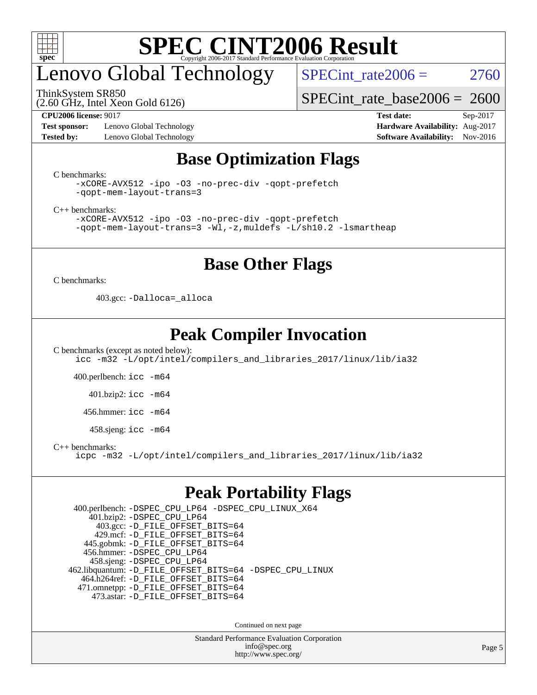

## enovo Global Technology

ThinkSystem SR850

(2.60 GHz, Intel Xeon Gold 6126)

SPECint rate $2006 = 2760$ 

[SPECint\\_rate\\_base2006 =](http://www.spec.org/auto/cpu2006/Docs/result-fields.html#SPECintratebase2006) 2600

**[Test sponsor:](http://www.spec.org/auto/cpu2006/Docs/result-fields.html#Testsponsor)** Lenovo Global Technology **[Hardware Availability:](http://www.spec.org/auto/cpu2006/Docs/result-fields.html#HardwareAvailability)** Aug-2017 **[Tested by:](http://www.spec.org/auto/cpu2006/Docs/result-fields.html#Testedby)** Lenovo Global Technology **[Software Availability:](http://www.spec.org/auto/cpu2006/Docs/result-fields.html#SoftwareAvailability)** Nov-2016

**[CPU2006 license:](http://www.spec.org/auto/cpu2006/Docs/result-fields.html#CPU2006license)** 9017 **[Test date:](http://www.spec.org/auto/cpu2006/Docs/result-fields.html#Testdate)** Sep-2017

## **[Base Optimization Flags](http://www.spec.org/auto/cpu2006/Docs/result-fields.html#BaseOptimizationFlags)**

[C benchmarks](http://www.spec.org/auto/cpu2006/Docs/result-fields.html#Cbenchmarks):

```
-xCORE-AVX512 -ipo -O3 -no-prec-div -qopt-prefetch
-qopt-mem-layout-trans=3
```
[C++ benchmarks:](http://www.spec.org/auto/cpu2006/Docs/result-fields.html#CXXbenchmarks)

[-xCORE-AVX512](http://www.spec.org/cpu2006/results/res2017q4/cpu2006-20170918-49929.flags.html#user_CXXbase_f-xCORE-AVX512) [-ipo](http://www.spec.org/cpu2006/results/res2017q4/cpu2006-20170918-49929.flags.html#user_CXXbase_f-ipo) [-O3](http://www.spec.org/cpu2006/results/res2017q4/cpu2006-20170918-49929.flags.html#user_CXXbase_f-O3) [-no-prec-div](http://www.spec.org/cpu2006/results/res2017q4/cpu2006-20170918-49929.flags.html#user_CXXbase_f-no-prec-div) [-qopt-prefetch](http://www.spec.org/cpu2006/results/res2017q4/cpu2006-20170918-49929.flags.html#user_CXXbase_f-qopt-prefetch) [-qopt-mem-layout-trans=3](http://www.spec.org/cpu2006/results/res2017q4/cpu2006-20170918-49929.flags.html#user_CXXbase_f-qopt-mem-layout-trans_170f5be61cd2cedc9b54468c59262d5d) [-Wl,-z,muldefs](http://www.spec.org/cpu2006/results/res2017q4/cpu2006-20170918-49929.flags.html#user_CXXbase_link_force_multiple1_74079c344b956b9658436fd1b6dd3a8a) [-L/sh10.2 -lsmartheap](http://www.spec.org/cpu2006/results/res2017q4/cpu2006-20170918-49929.flags.html#user_CXXbase_SmartHeap_b831f2d313e2fffa6dfe3f00ffc1f1c0)

### **[Base Other Flags](http://www.spec.org/auto/cpu2006/Docs/result-fields.html#BaseOtherFlags)**

[C benchmarks](http://www.spec.org/auto/cpu2006/Docs/result-fields.html#Cbenchmarks):

403.gcc: [-Dalloca=\\_alloca](http://www.spec.org/cpu2006/results/res2017q4/cpu2006-20170918-49929.flags.html#b403.gcc_baseEXTRA_CFLAGS_Dalloca_be3056838c12de2578596ca5467af7f3)

## **[Peak Compiler Invocation](http://www.spec.org/auto/cpu2006/Docs/result-fields.html#PeakCompilerInvocation)**

[C benchmarks \(except as noted below\)](http://www.spec.org/auto/cpu2006/Docs/result-fields.html#Cbenchmarksexceptasnotedbelow): [icc -m32 -L/opt/intel/compilers\\_and\\_libraries\\_2017/linux/lib/ia32](http://www.spec.org/cpu2006/results/res2017q4/cpu2006-20170918-49929.flags.html#user_CCpeak_intel_icc_c29f3ff5a7ed067b11e4ec10a03f03ae)

400.perlbench: [icc -m64](http://www.spec.org/cpu2006/results/res2017q4/cpu2006-20170918-49929.flags.html#user_peakCCLD400_perlbench_intel_icc_64bit_bda6cc9af1fdbb0edc3795bac97ada53)

401.bzip2: [icc -m64](http://www.spec.org/cpu2006/results/res2017q4/cpu2006-20170918-49929.flags.html#user_peakCCLD401_bzip2_intel_icc_64bit_bda6cc9af1fdbb0edc3795bac97ada53)

456.hmmer: [icc -m64](http://www.spec.org/cpu2006/results/res2017q4/cpu2006-20170918-49929.flags.html#user_peakCCLD456_hmmer_intel_icc_64bit_bda6cc9af1fdbb0edc3795bac97ada53)

458.sjeng: [icc -m64](http://www.spec.org/cpu2006/results/res2017q4/cpu2006-20170918-49929.flags.html#user_peakCCLD458_sjeng_intel_icc_64bit_bda6cc9af1fdbb0edc3795bac97ada53)

[C++ benchmarks:](http://www.spec.org/auto/cpu2006/Docs/result-fields.html#CXXbenchmarks)

[icpc -m32 -L/opt/intel/compilers\\_and\\_libraries\\_2017/linux/lib/ia32](http://www.spec.org/cpu2006/results/res2017q4/cpu2006-20170918-49929.flags.html#user_CXXpeak_intel_icpc_8c35c7808b62dab9ae41a1aa06361b6b)

### **[Peak Portability Flags](http://www.spec.org/auto/cpu2006/Docs/result-fields.html#PeakPortabilityFlags)**

 400.perlbench: [-DSPEC\\_CPU\\_LP64](http://www.spec.org/cpu2006/results/res2017q4/cpu2006-20170918-49929.flags.html#b400.perlbench_peakCPORTABILITY_DSPEC_CPU_LP64) [-DSPEC\\_CPU\\_LINUX\\_X64](http://www.spec.org/cpu2006/results/res2017q4/cpu2006-20170918-49929.flags.html#b400.perlbench_peakCPORTABILITY_DSPEC_CPU_LINUX_X64) 401.bzip2: [-DSPEC\\_CPU\\_LP64](http://www.spec.org/cpu2006/results/res2017q4/cpu2006-20170918-49929.flags.html#suite_peakCPORTABILITY401_bzip2_DSPEC_CPU_LP64) 403.gcc: [-D\\_FILE\\_OFFSET\\_BITS=64](http://www.spec.org/cpu2006/results/res2017q4/cpu2006-20170918-49929.flags.html#user_peakPORTABILITY403_gcc_file_offset_bits_64_438cf9856305ebd76870a2c6dc2689ab) 429.mcf: [-D\\_FILE\\_OFFSET\\_BITS=64](http://www.spec.org/cpu2006/results/res2017q4/cpu2006-20170918-49929.flags.html#user_peakPORTABILITY429_mcf_file_offset_bits_64_438cf9856305ebd76870a2c6dc2689ab) 445.gobmk: [-D\\_FILE\\_OFFSET\\_BITS=64](http://www.spec.org/cpu2006/results/res2017q4/cpu2006-20170918-49929.flags.html#user_peakPORTABILITY445_gobmk_file_offset_bits_64_438cf9856305ebd76870a2c6dc2689ab) 456.hmmer: [-DSPEC\\_CPU\\_LP64](http://www.spec.org/cpu2006/results/res2017q4/cpu2006-20170918-49929.flags.html#suite_peakCPORTABILITY456_hmmer_DSPEC_CPU_LP64) 458.sjeng: [-DSPEC\\_CPU\\_LP64](http://www.spec.org/cpu2006/results/res2017q4/cpu2006-20170918-49929.flags.html#suite_peakCPORTABILITY458_sjeng_DSPEC_CPU_LP64) 462.libquantum: [-D\\_FILE\\_OFFSET\\_BITS=64](http://www.spec.org/cpu2006/results/res2017q4/cpu2006-20170918-49929.flags.html#user_peakPORTABILITY462_libquantum_file_offset_bits_64_438cf9856305ebd76870a2c6dc2689ab) [-DSPEC\\_CPU\\_LINUX](http://www.spec.org/cpu2006/results/res2017q4/cpu2006-20170918-49929.flags.html#b462.libquantum_peakCPORTABILITY_DSPEC_CPU_LINUX) 464.h264ref: [-D\\_FILE\\_OFFSET\\_BITS=64](http://www.spec.org/cpu2006/results/res2017q4/cpu2006-20170918-49929.flags.html#user_peakPORTABILITY464_h264ref_file_offset_bits_64_438cf9856305ebd76870a2c6dc2689ab) 471.omnetpp: [-D\\_FILE\\_OFFSET\\_BITS=64](http://www.spec.org/cpu2006/results/res2017q4/cpu2006-20170918-49929.flags.html#user_peakPORTABILITY471_omnetpp_file_offset_bits_64_438cf9856305ebd76870a2c6dc2689ab) 473.astar: [-D\\_FILE\\_OFFSET\\_BITS=64](http://www.spec.org/cpu2006/results/res2017q4/cpu2006-20170918-49929.flags.html#user_peakPORTABILITY473_astar_file_offset_bits_64_438cf9856305ebd76870a2c6dc2689ab)

Continued on next page

Standard Performance Evaluation Corporation [info@spec.org](mailto:info@spec.org) <http://www.spec.org/>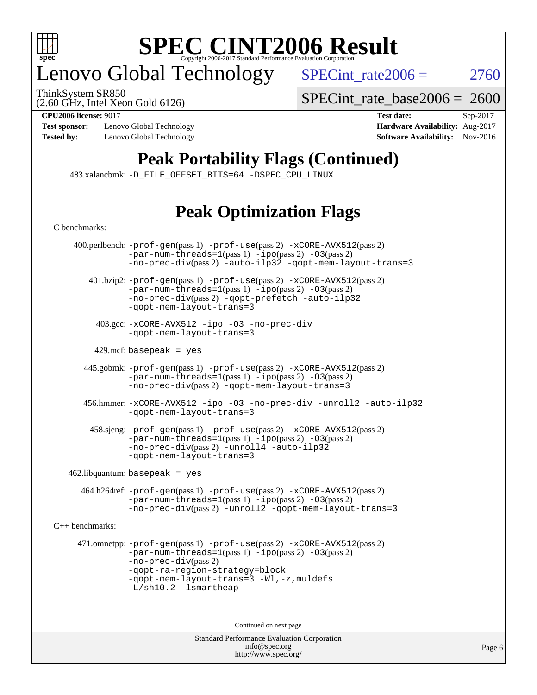

## enovo Global Technology

ThinkSystem SR850

 $SPECTnt_rate2006 = 2760$ 

(2.60 GHz, Intel Xeon Gold 6126)

[C benchmarks](http://www.spec.org/auto/cpu2006/Docs/result-fields.html#Cbenchmarks):

**[Test sponsor:](http://www.spec.org/auto/cpu2006/Docs/result-fields.html#Testsponsor)** Lenovo Global Technology **[Hardware Availability:](http://www.spec.org/auto/cpu2006/Docs/result-fields.html#HardwareAvailability)** Aug-2017

[SPECint\\_rate\\_base2006 =](http://www.spec.org/auto/cpu2006/Docs/result-fields.html#SPECintratebase2006) 2600

**[CPU2006 license:](http://www.spec.org/auto/cpu2006/Docs/result-fields.html#CPU2006license)** 9017 **[Test date:](http://www.spec.org/auto/cpu2006/Docs/result-fields.html#Testdate)** Sep-2017 **[Tested by:](http://www.spec.org/auto/cpu2006/Docs/result-fields.html#Testedby)** Lenovo Global Technology **[Software Availability:](http://www.spec.org/auto/cpu2006/Docs/result-fields.html#SoftwareAvailability)** Nov-2016

## **[Peak Portability Flags \(Continued\)](http://www.spec.org/auto/cpu2006/Docs/result-fields.html#PeakPortabilityFlags)**

483.xalancbmk: [-D\\_FILE\\_OFFSET\\_BITS=64](http://www.spec.org/cpu2006/results/res2017q4/cpu2006-20170918-49929.flags.html#user_peakPORTABILITY483_xalancbmk_file_offset_bits_64_438cf9856305ebd76870a2c6dc2689ab) [-DSPEC\\_CPU\\_LINUX](http://www.spec.org/cpu2006/results/res2017q4/cpu2006-20170918-49929.flags.html#b483.xalancbmk_peakCXXPORTABILITY_DSPEC_CPU_LINUX)

## **[Peak Optimization Flags](http://www.spec.org/auto/cpu2006/Docs/result-fields.html#PeakOptimizationFlags)**

| 400.perlbench: -prof-gen(pass 1) -prof-use(pass 2) -xCORE-AVX512(pass 2)<br>$-par-num-threads=1(pass 1) -ipo(pass 2) -03(pass 2)$<br>-no-prec-div(pass 2) -auto-ilp32 -qopt-mem-layout-trans=3                                                                     |  |
|--------------------------------------------------------------------------------------------------------------------------------------------------------------------------------------------------------------------------------------------------------------------|--|
| 401.bzip2: -prof-gen(pass 1) -prof-use(pass 2) -xCORE-AVX512(pass 2)<br>$-par-num-threads=1(pass 1) -ipo(pass 2) -03(pass 2)$<br>-no-prec-div(pass 2) -gopt-prefetch -auto-ilp32<br>-gopt-mem-layout-trans=3                                                       |  |
| 403.gcc: -xCORE-AVX512 -ipo -03 -no-prec-div<br>-gopt-mem-layout-trans=3                                                                                                                                                                                           |  |
| 429.mcf: basepeak = $yes$                                                                                                                                                                                                                                          |  |
| 445.gobmk: -prof-gen(pass 1) -prof-use(pass 2) -xCORE-AVX512(pass 2)<br>$-par-num-threads=1(pass 1) -ipo(pass 2) -03(pass 2)$<br>-no-prec-div(pass 2) -qopt-mem-layout-trans=3                                                                                     |  |
| 456.hmmer: -xCORE-AVX512 -ipo -03 -no-prec-div -unroll2 -auto-ilp32<br>-gopt-mem-layout-trans=3                                                                                                                                                                    |  |
| 458.sjeng: -prof-gen(pass 1) -prof-use(pass 2) -xCORE-AVX512(pass 2)<br>$-par-num-threads=1(pass 1) -ipo(pass 2) -03(pass 2)$<br>-no-prec-div(pass 2) -unroll4 -auto-ilp32<br>-gopt-mem-layout-trans=3                                                             |  |
| $462$ .libquantum: basepeak = yes                                                                                                                                                                                                                                  |  |
| 464.h264ref: -prof-gen(pass 1) -prof-use(pass 2) -xCORE-AVX512(pass 2)<br>-par-num-threads=1(pass 1) -ipo(pass 2) -03(pass 2)<br>-no-prec-div(pass 2) -unroll2 -qopt-mem-layout-trans=3                                                                            |  |
| $C_{++}$ benchmarks:                                                                                                                                                                                                                                               |  |
| 471.omnetpp: -prof-gen(pass 1) -prof-use(pass 2) -xCORE-AVX512(pass 2)<br>$-par-num-threads=1(pass 1) -ipo(pass 2) -03(pass 2)$<br>-no-prec-div(pass 2)<br>-qopt-ra-region-strategy=block<br>-qopt-mem-layout-trans=3 -Wl,-z, muldefs<br>$-L/\nsh10.2$ -lsmartheap |  |
| Continued on next page                                                                                                                                                                                                                                             |  |
| <b>Standard Performance Evaluation Corporation</b>                                                                                                                                                                                                                 |  |

[info@spec.org](mailto:info@spec.org) <http://www.spec.org/>